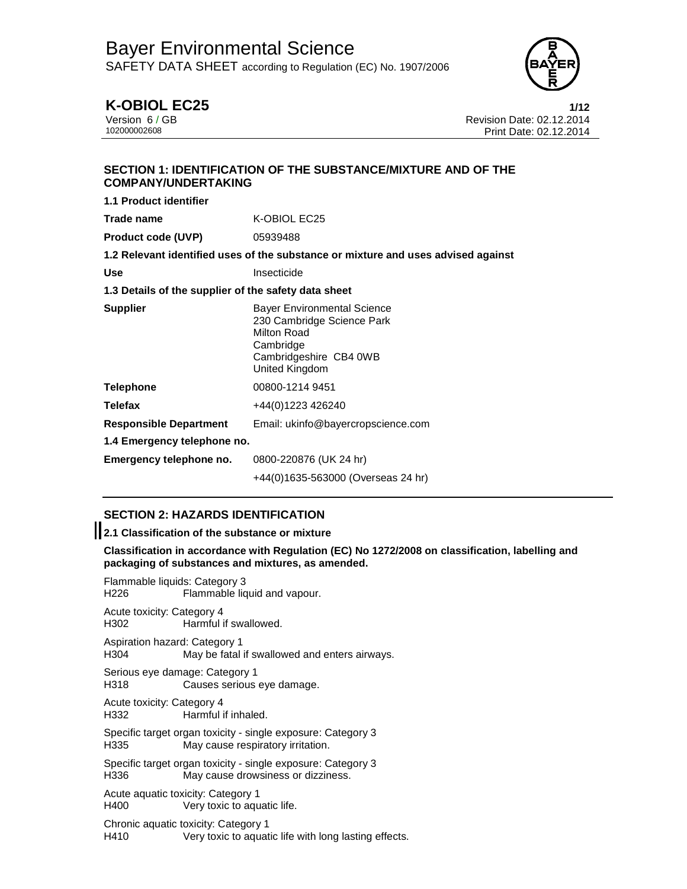

# **K-OBIOL EC25 1/12**

Version 6 / GB Revision Date: 02.12.2014 Print Date: 02.12.2014

# **SECTION 1: IDENTIFICATION OF THE SUBSTANCE/MIXTURE AND OF THE COMPANY/UNDERTAKING**

| <b>1.1 Product identifier</b>                        |                                                                                                                                          |  |  |  |
|------------------------------------------------------|------------------------------------------------------------------------------------------------------------------------------------------|--|--|--|
| Trade name                                           | K-OBIOL EC25                                                                                                                             |  |  |  |
| <b>Product code (UVP)</b>                            | 05939488                                                                                                                                 |  |  |  |
|                                                      | 1.2 Relevant identified uses of the substance or mixture and uses advised against                                                        |  |  |  |
| Use                                                  | Insecticide                                                                                                                              |  |  |  |
| 1.3 Details of the supplier of the safety data sheet |                                                                                                                                          |  |  |  |
| <b>Supplier</b>                                      | <b>Bayer Environmental Science</b><br>230 Cambridge Science Park<br>Milton Road<br>Cambridge<br>Cambridgeshire CB4 0WB<br>United Kingdom |  |  |  |
| <b>Telephone</b>                                     | 00800-1214 9451                                                                                                                          |  |  |  |
| <b>Telefax</b>                                       | +44(0)1223 426240                                                                                                                        |  |  |  |
| <b>Responsible Department</b>                        | Email: ukinfo@bayercropscience.com                                                                                                       |  |  |  |
| 1.4 Emergency telephone no.                          |                                                                                                                                          |  |  |  |
| Emergency telephone no.                              | 0800-220876 (UK 24 hr)                                                                                                                   |  |  |  |
|                                                      | +44(0)1635-563000 (Overseas 24 hr)                                                                                                       |  |  |  |

# **SECTION 2: HAZARDS IDENTIFICATION**

# **2.1 Classification of the substance or mixture**

**Classification in accordance with Regulation (EC) No 1272/2008 on classification, labelling and packaging of substances and mixtures, as amended.** 

Flammable liquids: Category 3 H226 Flammable liquid and vapour. Acute toxicity: Category 4 Harmful if swallowed. Aspiration hazard: Category 1 H304 May be fatal if swallowed and enters airways. Serious eye damage: Category 1 H318 Causes serious eye damage. Acute toxicity: Category 4 H332 Harmful if inhaled. Specific target organ toxicity - single exposure: Category 3 H335 May cause respiratory irritation. Specific target organ toxicity - single exposure: Category 3 H336 May cause drowsiness or dizziness. Acute aquatic toxicity: Category 1 H400 Very toxic to aquatic life. Chronic aquatic toxicity: Category 1 H410 Very toxic to aquatic life with long lasting effects.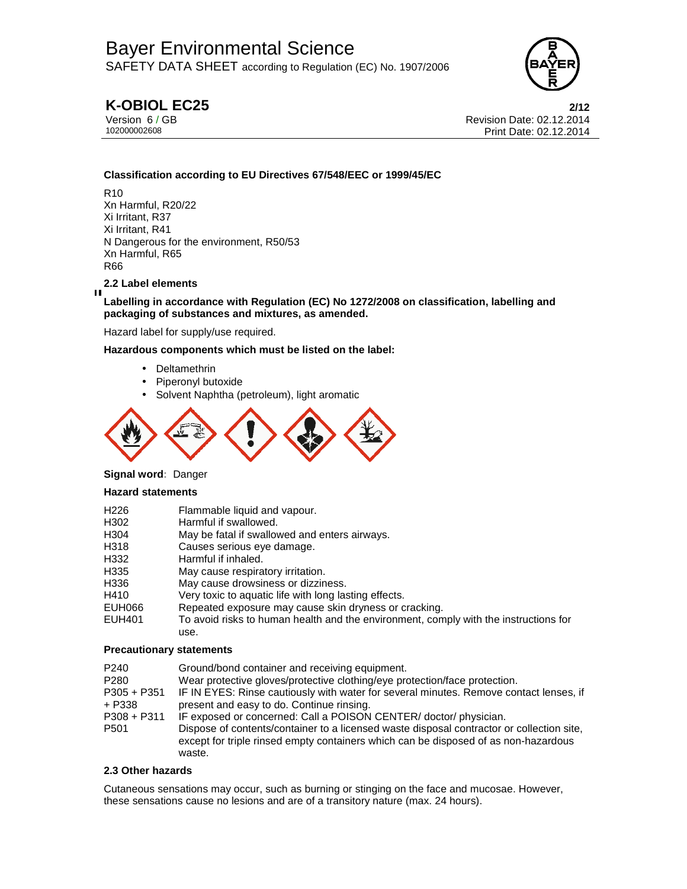

# **K-OBIOL EC25 2/12**

Version 6 / GB Revision Date: 02.12.2014 Print Date: 02.12.2014

## **Classification according to EU Directives 67/548/EEC or 1999/45/EC**

R10 Xn Harmful, R20/22 Xi Irritant, R37 Xi Irritant, R41 N Dangerous for the environment, R50/53 Xn Harmful, R65 R66

## **2.2 Label elements**

П

### **Labelling in accordance with Regulation (EC) No 1272/2008 on classification, labelling and packaging of substances and mixtures, as amended.**

Hazard label for supply/use required.

**Hazardous components which must be listed on the label:**

- Deltamethrin
- Piperonyl butoxide
- Solvent Naphtha (petroleum), light aromatic



### **Signal word:** Danger

### **Hazard statements**

| H <sub>226</sub> | Flammable liquid and vapour.                                                         |
|------------------|--------------------------------------------------------------------------------------|
| H302             | Harmful if swallowed.                                                                |
| H <sub>304</sub> | May be fatal if swallowed and enters airways.                                        |
| H318             | Causes serious eye damage.                                                           |
| H332             | Harmful if inhaled.                                                                  |
| H335             | May cause respiratory irritation.                                                    |
| H336             | May cause drowsiness or dizziness.                                                   |
| H410             | Very toxic to aquatic life with long lasting effects.                                |
| EUH066           | Repeated exposure may cause skin dryness or cracking.                                |
| <b>EUH401</b>    | To avoid risks to human health and the environment, comply with the instructions for |
|                  | use.                                                                                 |

### **Precautionary statements**

| P <sub>240</sub><br>P <sub>280</sub><br>$P305 + P351$<br>+ P338<br>$P308 + P311$<br>P501 | Ground/bond container and receiving equipment.<br>Wear protective gloves/protective clothing/eye protection/face protection.<br>IF IN EYES: Rinse cautiously with water for several minutes. Remove contact lenses, if<br>present and easy to do. Continue rinsing.<br>IF exposed or concerned: Call a POISON CENTER/ doctor/ physician.<br>Dispose of contents/container to a licensed waste disposal contractor or collection site,<br>except for triple rinsed empty containers which can be disposed of as non-hazardous<br>waste. |
|------------------------------------------------------------------------------------------|----------------------------------------------------------------------------------------------------------------------------------------------------------------------------------------------------------------------------------------------------------------------------------------------------------------------------------------------------------------------------------------------------------------------------------------------------------------------------------------------------------------------------------------|
|------------------------------------------------------------------------------------------|----------------------------------------------------------------------------------------------------------------------------------------------------------------------------------------------------------------------------------------------------------------------------------------------------------------------------------------------------------------------------------------------------------------------------------------------------------------------------------------------------------------------------------------|

### **2.3 Other hazards**

Cutaneous sensations may occur, such as burning or stinging on the face and mucosae. However, these sensations cause no lesions and are of a transitory nature (max. 24 hours).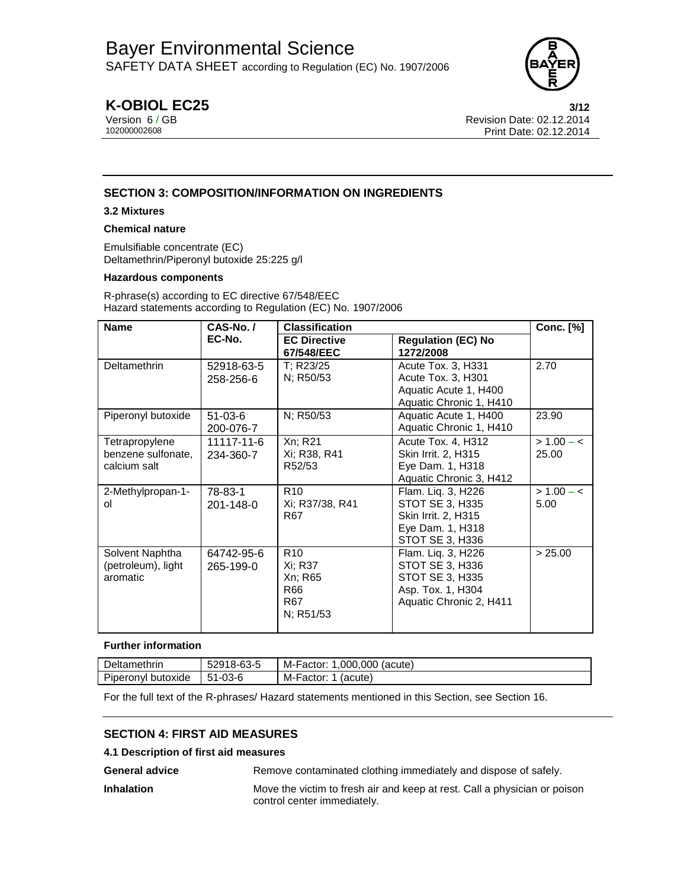

# **K-OBIOL EC25 3/12**

Version 6 / GB Revision Date: 02.12.2014 Print Date: 02.12.2014

# **SECTION 3: COMPOSITION/INFORMATION ON INGREDIENTS**

### **3.2 Mixtures**

### **Chemical nature**

Emulsifiable concentrate (EC) Deltamethrin/Piperonyl butoxide 25:225 g/l

### **Hazardous components**

R-phrase(s) according to EC directive 67/548/EEC Hazard statements according to Regulation (EC) No. 1907/2006

| <b>Name</b>                                                                  | CAS-No./                | <b>Classification</b>                                            |                                                                                                          |                       |  | <b>Conc.</b> [%] |
|------------------------------------------------------------------------------|-------------------------|------------------------------------------------------------------|----------------------------------------------------------------------------------------------------------|-----------------------|--|------------------|
|                                                                              | EC-No.                  | <b>EC Directive</b><br>67/548/EEC                                | <b>Regulation (EC) No</b><br>1272/2008                                                                   |                       |  |                  |
| Deltamethrin                                                                 | 52918-63-5<br>258-256-6 | T: R23/25<br>N; R50/53                                           | Acute Tox. 3, H331<br>Acute Tox. 3, H301<br>Aquatic Acute 1, H400<br>Aquatic Chronic 1, H410             | 2.70                  |  |                  |
| Piperonyl butoxide                                                           | $51-03-6$<br>200-076-7  | N; R50/53                                                        | Aquatic Acute 1, H400<br>Aquatic Chronic 1, H410                                                         | 23.90                 |  |                  |
| Tetrapropylene<br>benzene sulfonate,<br>calcium salt                         | 11117-11-6<br>234-360-7 | Xn; R21<br>Xi: R38. R41<br>R52/53                                | <b>Acute Tox. 4, H312</b><br>Skin Irrit. 2, H315<br>Eye Dam. 1, H318<br>Aquatic Chronic 3, H412          | $> 1.00 - c$<br>25.00 |  |                  |
| 2-Methylpropan-1-<br>οl                                                      | 78-83-1<br>201-148-0    | R <sub>10</sub><br>Xi; R37/38, R41<br>R67                        | Flam. Liq. 3, H226<br>STOT SE 3, H335<br>Skin Irrit. 2, H315<br>Eye Dam. 1, H318<br>STOT SE 3, H336      | $> 1.00 - c$<br>5.00  |  |                  |
| Solvent Naphtha<br>64742-95-6<br>(petroleum), light<br>265-199-0<br>aromatic |                         | R <sub>10</sub><br>Xi; R37<br>Xn; R65<br>R66<br>R67<br>N; R51/53 | Flam. Lig. 3, H226<br>STOT SE 3, H336<br>STOT SE 3, H335<br>Asp. Tox. 1, H304<br>Aquatic Chronic 2, H411 | > 25.00               |  |                  |

### **Further information**

| Deltamethrin       | 52918-63-5    | M-Factor:<br>.000.000 (acute) |
|--------------------|---------------|-------------------------------|
| Piperonyl butoxide | $51 - 03 - 6$ | M-Factor:<br>(acute)          |

For the full text of the R-phrases/ Hazard statements mentioned in this Section, see Section 16.

# **SECTION 4: FIRST AID MEASURES**

### **4.1 Description of first aid measures**

General advice **Remove contaminated clothing immediately and dispose of safely.** 

**Inhalation** Move the victim to fresh air and keep at rest. Call a physician or poison control center immediately.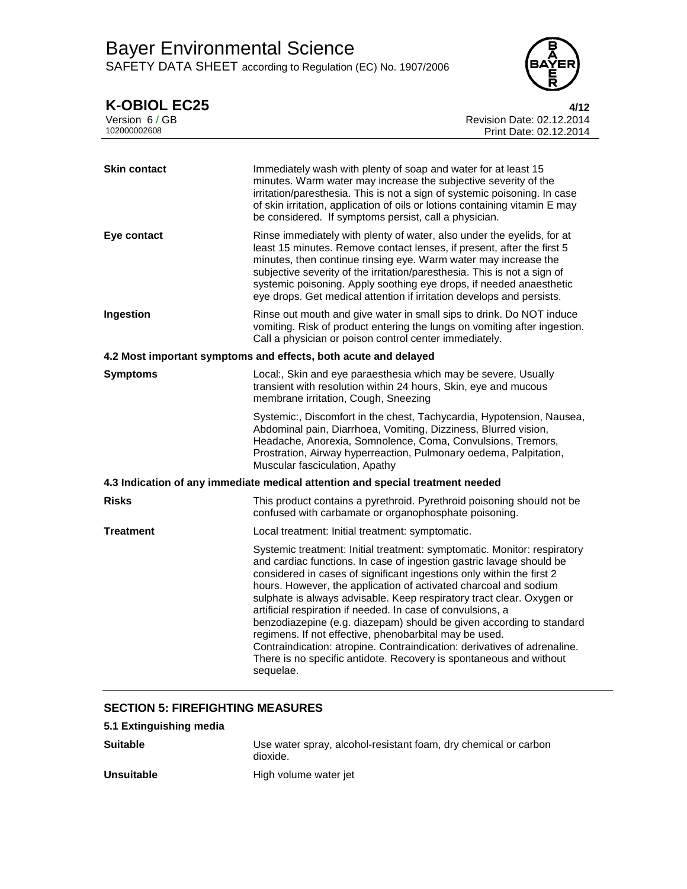

| <b>K-OBIOL EC25</b><br>Version 6 / GB<br>102000002608 | 4/12<br>Revision Date: 02.12.2014<br>Print Date: 02.12.2014                                                                                                                                                                                                                                                                                                                                                                                                                                                                                                                                                                                                                                                                            |
|-------------------------------------------------------|----------------------------------------------------------------------------------------------------------------------------------------------------------------------------------------------------------------------------------------------------------------------------------------------------------------------------------------------------------------------------------------------------------------------------------------------------------------------------------------------------------------------------------------------------------------------------------------------------------------------------------------------------------------------------------------------------------------------------------------|
| <b>Skin contact</b>                                   | Immediately wash with plenty of soap and water for at least 15<br>minutes. Warm water may increase the subjective severity of the<br>irritation/paresthesia. This is not a sign of systemic poisoning. In case<br>of skin irritation, application of oils or lotions containing vitamin E may<br>be considered. If symptoms persist, call a physician.                                                                                                                                                                                                                                                                                                                                                                                 |
| Eye contact                                           | Rinse immediately with plenty of water, also under the eyelids, for at<br>least 15 minutes. Remove contact lenses, if present, after the first 5<br>minutes, then continue rinsing eye. Warm water may increase the<br>subjective severity of the irritation/paresthesia. This is not a sign of<br>systemic poisoning. Apply soothing eye drops, if needed anaesthetic<br>eye drops. Get medical attention if irritation develops and persists.                                                                                                                                                                                                                                                                                        |
| Ingestion                                             | Rinse out mouth and give water in small sips to drink. Do NOT induce<br>vomiting. Risk of product entering the lungs on vomiting after ingestion.<br>Call a physician or poison control center immediately.                                                                                                                                                                                                                                                                                                                                                                                                                                                                                                                            |
|                                                       | 4.2 Most important symptoms and effects, both acute and delayed                                                                                                                                                                                                                                                                                                                                                                                                                                                                                                                                                                                                                                                                        |
| <b>Symptoms</b>                                       | Local:, Skin and eye paraesthesia which may be severe, Usually<br>transient with resolution within 24 hours, Skin, eye and mucous<br>membrane irritation, Cough, Sneezing                                                                                                                                                                                                                                                                                                                                                                                                                                                                                                                                                              |
|                                                       | Systemic:, Discomfort in the chest, Tachycardia, Hypotension, Nausea,<br>Abdominal pain, Diarrhoea, Vomiting, Dizziness, Blurred vision,<br>Headache, Anorexia, Somnolence, Coma, Convulsions, Tremors,<br>Prostration, Airway hyperreaction, Pulmonary oedema, Palpitation,<br>Muscular fasciculation, Apathy                                                                                                                                                                                                                                                                                                                                                                                                                         |
|                                                       | 4.3 Indication of any immediate medical attention and special treatment needed                                                                                                                                                                                                                                                                                                                                                                                                                                                                                                                                                                                                                                                         |
| <b>Risks</b>                                          | This product contains a pyrethroid. Pyrethroid poisoning should not be<br>confused with carbamate or organophosphate poisoning.                                                                                                                                                                                                                                                                                                                                                                                                                                                                                                                                                                                                        |
| <b>Treatment</b>                                      | Local treatment: Initial treatment: symptomatic.                                                                                                                                                                                                                                                                                                                                                                                                                                                                                                                                                                                                                                                                                       |
|                                                       | Systemic treatment: Initial treatment: symptomatic. Monitor: respiratory<br>and cardiac functions. In case of ingestion gastric lavage should be<br>considered in cases of significant ingestions only within the first 2<br>hours. However, the application of activated charcoal and sodium<br>sulphate is always advisable. Keep respiratory tract clear. Oxygen or<br>artificial respiration if needed. In case of convulsions, a<br>benzodiazepine (e.g. diazepam) should be given according to standard<br>regimens. If not effective, phenobarbital may be used.<br>Contraindication: atropine. Contraindication: derivatives of adrenaline.<br>There is no specific antidote. Recovery is spontaneous and without<br>sequelae. |
|                                                       |                                                                                                                                                                                                                                                                                                                                                                                                                                                                                                                                                                                                                                                                                                                                        |

# **SECTION 5: FIREFIGHTING MEASURES**

| 5.1 Extinguishing media |                                                                             |
|-------------------------|-----------------------------------------------------------------------------|
| <b>Suitable</b>         | Use water spray, alcohol-resistant foam, dry chemical or carbon<br>dioxide. |
| <b>Unsuitable</b>       | High volume water jet                                                       |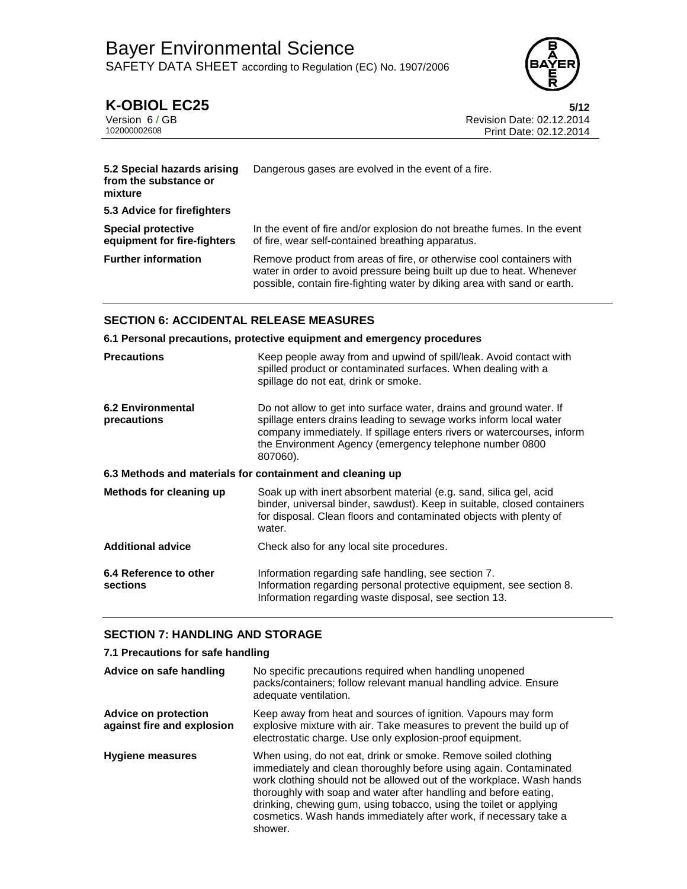

**K-OBIOL EC25** 5/12<br>Version 6/GB<br>Revision Date: 02.12.2014 Version 6/GB<br>102000002608<br>Print Date: 02.12.2014<br>Print Date: 02.12.2014 Print Date: 02.12.2014

| 5.2 Special hazards arising<br>from the substance or<br>mixture | Dangerous gases are evolved in the event of a fire.                                                                                                                                                                       |  |  |
|-----------------------------------------------------------------|---------------------------------------------------------------------------------------------------------------------------------------------------------------------------------------------------------------------------|--|--|
| 5.3 Advice for firefighters                                     |                                                                                                                                                                                                                           |  |  |
| <b>Special protective</b><br>equipment for fire-fighters        | In the event of fire and/or explosion do not breathe fumes. In the event<br>of fire, wear self-contained breathing apparatus.                                                                                             |  |  |
| <b>Further information</b>                                      | Remove product from areas of fire, or otherwise cool containers with<br>water in order to avoid pressure being built up due to heat. Whenever<br>possible, contain fire-fighting water by diking area with sand or earth. |  |  |

# **SECTION 6: ACCIDENTAL RELEASE MEASURES**

### **6.1 Personal precautions, protective equipment and emergency procedures**

| <b>Precautions</b>                                        | Keep people away from and upwind of spill/leak. Avoid contact with<br>spilled product or contaminated surfaces. When dealing with a<br>spillage do not eat, drink or smoke.                                                                                                               |  |  |  |
|-----------------------------------------------------------|-------------------------------------------------------------------------------------------------------------------------------------------------------------------------------------------------------------------------------------------------------------------------------------------|--|--|--|
| <b>6.2 Environmental</b><br>precautions                   | Do not allow to get into surface water, drains and ground water. If<br>spillage enters drains leading to sewage works inform local water<br>company immediately. If spillage enters rivers or watercourses, inform<br>the Environment Agency (emergency telephone number 0800<br>807060). |  |  |  |
| 6.3 Methods and materials for containment and cleaning up |                                                                                                                                                                                                                                                                                           |  |  |  |
| Methods for cleaning up                                   | Soak up with inert absorbent material (e.g. sand, silica gel, acid<br>binder, universal binder, sawdust). Keep in suitable, closed containers<br>for disposal. Clean floors and contaminated objects with plenty of<br>water.                                                             |  |  |  |
| <b>Additional advice</b>                                  | Check also for any local site procedures.                                                                                                                                                                                                                                                 |  |  |  |
| 6.4 Reference to other<br>sections                        | Information regarding safe handling, see section 7.<br>Information regarding personal protective equipment, see section 8.<br>Information regarding waste disposal, see section 13.                                                                                                       |  |  |  |

## **SECTION 7: HANDLING AND STORAGE**

### **7.1 Precautions for safe handling**

| Advice on safe handling                                   | No specific precautions required when handling unopened<br>packs/containers; follow relevant manual handling advice. Ensure<br>adequate ventilation.                                                                                                                                                                                                                                                                                  |  |  |
|-----------------------------------------------------------|---------------------------------------------------------------------------------------------------------------------------------------------------------------------------------------------------------------------------------------------------------------------------------------------------------------------------------------------------------------------------------------------------------------------------------------|--|--|
| <b>Advice on protection</b><br>against fire and explosion | Keep away from heat and sources of ignition. Vapours may form<br>explosive mixture with air. Take measures to prevent the build up of<br>electrostatic charge. Use only explosion-proof equipment.                                                                                                                                                                                                                                    |  |  |
| <b>Hygiene measures</b>                                   | When using, do not eat, drink or smoke. Remove soiled clothing<br>immediately and clean thoroughly before using again. Contaminated<br>work clothing should not be allowed out of the workplace. Wash hands<br>thoroughly with soap and water after handling and before eating,<br>drinking, chewing gum, using tobacco, using the toilet or applying<br>cosmetics. Wash hands immediately after work, if necessary take a<br>shower. |  |  |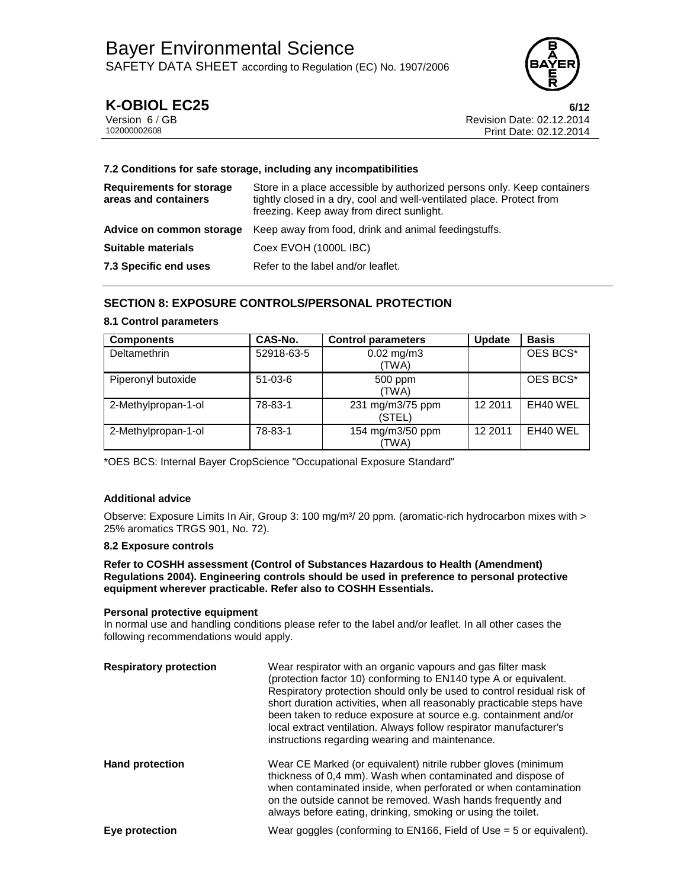

# **K-OBIOL EC25 6/12**

Version 6 / GB Revision Date: 02.12.2014 Print Date: 02.12.2014

### **7.2 Conditions for safe storage, including any incompatibilities**

| <b>Requirements for storage</b><br>areas and containers | Store in a place accessible by authorized persons only. Keep containers<br>tightly closed in a dry, cool and well-ventilated place. Protect from<br>freezing. Keep away from direct sunlight. |
|---------------------------------------------------------|-----------------------------------------------------------------------------------------------------------------------------------------------------------------------------------------------|
|                                                         | <b>Advice on common storage</b> Keep away from food, drink and animal feeding stuffs.                                                                                                         |
| <b>Suitable materials</b>                               | Coex EVOH (1000L IBC)                                                                                                                                                                         |
| 7.3 Specific end uses                                   | Refer to the label and/or leaflet.                                                                                                                                                            |

# **SECTION 8: EXPOSURE CONTROLS/PERSONAL PROTECTION**

### **8.1 Control parameters**

| <b>Components</b>   | CAS-No.    | <b>Control parameters</b>      | Update  | <b>Basis</b> |
|---------------------|------------|--------------------------------|---------|--------------|
| Deltamethrin        | 52918-63-5 | $0.02 \text{ mg/m}$ 3<br>(TWA) |         | OES BCS*     |
| Piperonyl butoxide  | $51-03-6$  | 500 ppm<br>(TWA)               |         | OES BCS*     |
| 2-Methylpropan-1-ol | 78-83-1    | 231 mg/m3/75 ppm<br>(STEL)     | 12 2011 | EH40 WEL     |
| 2-Methylpropan-1-ol | 78-83-1    | 154 mg/m3/50 ppm<br>(TWA)      | 12 2011 | EH40 WEL     |

\*OES BCS: Internal Bayer CropScience "Occupational Exposure Standard"

## **Additional advice**

Observe: Exposure Limits In Air, Group 3: 100 mg/m<sup>3</sup>/ 20 ppm. (aromatic-rich hydrocarbon mixes with > 25% aromatics TRGS 901, No. 72).

### **8.2 Exposure controls**

### **Refer to COSHH assessment (Control of Substances Hazardous to Health (Amendment) Regulations 2004). Engineering controls should be used in preference to personal protective equipment wherever practicable. Refer also to COSHH Essentials.**

### **Personal protective equipment**

In normal use and handling conditions please refer to the label and/or leaflet. In all other cases the following recommendations would apply.

| <b>Respiratory protection</b> | Wear respirator with an organic vapours and gas filter mask<br>(protection factor 10) conforming to EN140 type A or equivalent.<br>Respiratory protection should only be used to control residual risk of<br>short duration activities, when all reasonably practicable steps have<br>been taken to reduce exposure at source e.g. containment and/or<br>local extract ventilation. Always follow respirator manufacturer's<br>instructions regarding wearing and maintenance. |
|-------------------------------|--------------------------------------------------------------------------------------------------------------------------------------------------------------------------------------------------------------------------------------------------------------------------------------------------------------------------------------------------------------------------------------------------------------------------------------------------------------------------------|
| <b>Hand protection</b>        | Wear CE Marked (or equivalent) nitrile rubber gloves (minimum<br>thickness of 0,4 mm). Wash when contaminated and dispose of<br>when contaminated inside, when perforated or when contamination<br>on the outside cannot be removed. Wash hands frequently and<br>always before eating, drinking, smoking or using the toilet.                                                                                                                                                 |
| Eye protection                | Wear goggles (conforming to $EN166$ , Field of Use = 5 or equivalent).                                                                                                                                                                                                                                                                                                                                                                                                         |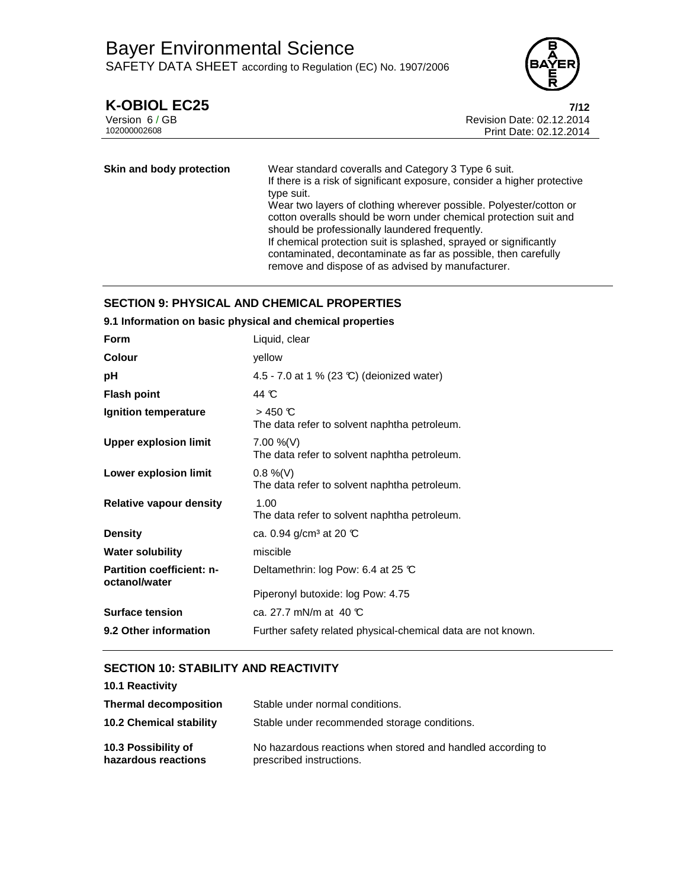

# **K-OBIOL EC25 7/12**

| Version 6 / GB |  |
|----------------|--|
| 102000002608   |  |

Revision Date: 02.12.2014 Print Date: 02.12.2014

| Skin and body protection | Wear standard coveralls and Category 3 Type 6 suit.<br>If there is a risk of significant exposure, consider a higher protective                                                           |
|--------------------------|-------------------------------------------------------------------------------------------------------------------------------------------------------------------------------------------|
|                          | type suit.                                                                                                                                                                                |
|                          | Wear two layers of clothing wherever possible. Polyester/cotton or<br>cotton overalls should be worn under chemical protection suit and<br>should be professionally laundered frequently. |
|                          | If chemical protection suit is splashed, sprayed or significantly<br>contaminated, decontaminate as far as possible, then carefully<br>remove and dispose of as advised by manufacturer.  |

# **SECTION 9: PHYSICAL AND CHEMICAL PROPERTIES**

| 9.1 Information on basic physical and chemical properties |                                                              |
|-----------------------------------------------------------|--------------------------------------------------------------|
| Form                                                      | Liquid, clear                                                |
| <b>Colour</b>                                             | yellow                                                       |
| рH                                                        | 4.5 - 7.0 at 1 % (23 °C) (deionized water)                   |
| <b>Flash point</b>                                        | 44 C                                                         |
| Ignition temperature                                      | $>$ 450 °C<br>The data refer to solvent naphtha petroleum.   |
| <b>Upper explosion limit</b>                              | $7.00\%$ (V)<br>The data refer to solvent naphtha petroleum. |
| Lower explosion limit                                     | $0.8\%$ (V)<br>The data refer to solvent naphtha petroleum.  |
| <b>Relative vapour density</b>                            | 1.00<br>The data refer to solvent naphtha petroleum.         |
| <b>Density</b>                                            | ca. 0.94 g/cm <sup>3</sup> at 20 ℃                           |
| <b>Water solubility</b>                                   | miscible                                                     |
| <b>Partition coefficient: n-</b><br>octanol/water         | Deltamethrin: log Pow: 6.4 at 25 $\mathbb C$                 |
|                                                           | Piperonyl butoxide: log Pow: 4.75                            |
| <b>Surface tension</b>                                    | ca. 27.7 mN/m at 40 $\mathbb C$                              |
| 9.2 Other information                                     | Further safety related physical-chemical data are not known. |

# **SECTION 10: STABILITY AND REACTIVITY**

| 10.1 Reactivity                            |                                                                                         |
|--------------------------------------------|-----------------------------------------------------------------------------------------|
| <b>Thermal decomposition</b>               | Stable under normal conditions.                                                         |
| <b>10.2 Chemical stability</b>             | Stable under recommended storage conditions.                                            |
| 10.3 Possibility of<br>hazardous reactions | No hazardous reactions when stored and handled according to<br>prescribed instructions. |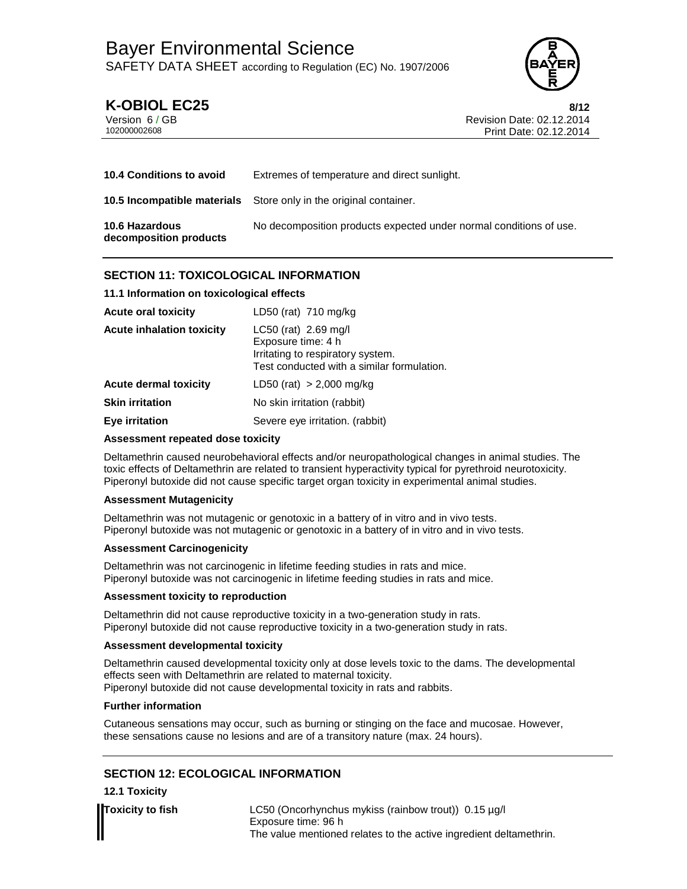

**K-OBIOL EC25** 8/12<br>Version 6/GB<br>Revision Date: 02.12.2014 Version 6 / GB Revision Date: 02.12.2014 Print Date: 02.12.2014

| <b>10.4 Conditions to avoid</b>                 | Extremes of temperature and direct sunlight.                             |
|-------------------------------------------------|--------------------------------------------------------------------------|
|                                                 | <b>10.5 Incompatible materials</b> Store only in the original container. |
| <b>10.6 Hazardous</b><br>decomposition products | No decomposition products expected under normal conditions of use.       |

# **SECTION 11: TOXICOLOGICAL INFORMATION**

## **11.1 Information on toxicological effects**

| <b>Acute oral toxicity</b>       | LD50 (rat) $710$ mg/kg                                                                                                          |
|----------------------------------|---------------------------------------------------------------------------------------------------------------------------------|
| <b>Acute inhalation toxicity</b> | $LC50$ (rat) 2.69 mg/l<br>Exposure time: 4 h<br>Irritating to respiratory system.<br>Test conducted with a similar formulation. |
| <b>Acute dermal toxicity</b>     | LD50 (rat) $> 2,000$ mg/kg                                                                                                      |
| <b>Skin irritation</b>           | No skin irritation (rabbit)                                                                                                     |
| <b>Eye irritation</b>            | Severe eye irritation. (rabbit)                                                                                                 |

## **Assessment repeated dose toxicity**

Deltamethrin caused neurobehavioral effects and/or neuropathological changes in animal studies. The toxic effects of Deltamethrin are related to transient hyperactivity typical for pyrethroid neurotoxicity. Piperonyl butoxide did not cause specific target organ toxicity in experimental animal studies.

## **Assessment Mutagenicity**

Deltamethrin was not mutagenic or genotoxic in a battery of in vitro and in vivo tests. Piperonyl butoxide was not mutagenic or genotoxic in a battery of in vitro and in vivo tests.

## **Assessment Carcinogenicity**

Deltamethrin was not carcinogenic in lifetime feeding studies in rats and mice. Piperonyl butoxide was not carcinogenic in lifetime feeding studies in rats and mice.

## **Assessment toxicity to reproduction**

Deltamethrin did not cause reproductive toxicity in a two-generation study in rats. Piperonyl butoxide did not cause reproductive toxicity in a two-generation study in rats.

## **Assessment developmental toxicity**

Deltamethrin caused developmental toxicity only at dose levels toxic to the dams. The developmental effects seen with Deltamethrin are related to maternal toxicity. Piperonyl butoxide did not cause developmental toxicity in rats and rabbits.

## **Further information**

Cutaneous sensations may occur, such as burning or stinging on the face and mucosae. However, these sensations cause no lesions and are of a transitory nature (max. 24 hours).

# **SECTION 12: ECOLOGICAL INFORMATION**

## **12.1 Toxicity**

**Toxicity to fish** LC50 (Oncorhynchus mykiss (rainbow trout)) 0.15 µg/l Exposure time: 96 h The value mentioned relates to the active ingredient deltamethrin.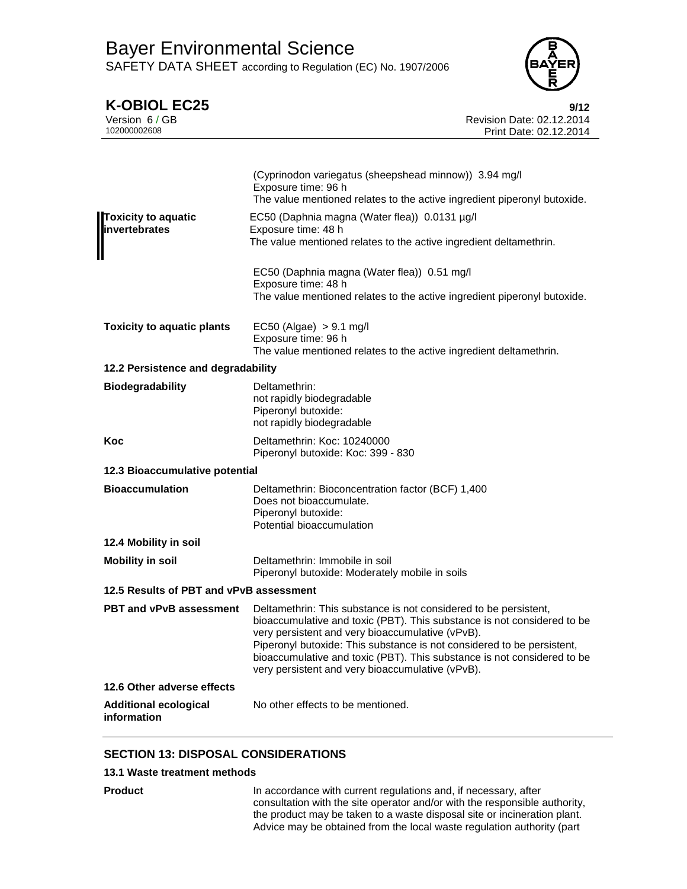

**K-OBIOL EC25**<br>Version 6/GB<br>**Propose and Secure 2012 Propose Are Secure 2012 Propose Are Secure 2012** Version 6 / GB Revision Date: 02.12.2014 Print Date: 02.12.2014

| <b>Toxicity to aquatic</b><br><b>linvertebrates</b> | (Cyprinodon variegatus (sheepshead minnow)) 3.94 mg/l<br>Exposure time: 96 h<br>The value mentioned relates to the active ingredient piperonyl butoxide.<br>EC50 (Daphnia magna (Water flea)) 0.0131 µg/l<br>Exposure time: 48 h<br>The value mentioned relates to the active ingredient deltamethrin.                                                                                                   |  |
|-----------------------------------------------------|----------------------------------------------------------------------------------------------------------------------------------------------------------------------------------------------------------------------------------------------------------------------------------------------------------------------------------------------------------------------------------------------------------|--|
|                                                     | EC50 (Daphnia magna (Water flea)) 0.51 mg/l<br>Exposure time: 48 h<br>The value mentioned relates to the active ingredient piperonyl butoxide.                                                                                                                                                                                                                                                           |  |
| <b>Toxicity to aquatic plants</b>                   | $EC50$ (Algae) $> 9.1$ mg/l<br>Exposure time: 96 h<br>The value mentioned relates to the active ingredient deltamethrin.                                                                                                                                                                                                                                                                                 |  |
| 12.2 Persistence and degradability                  |                                                                                                                                                                                                                                                                                                                                                                                                          |  |
| <b>Biodegradability</b>                             | Deltamethrin:<br>not rapidly biodegradable<br>Piperonyl butoxide:<br>not rapidly biodegradable                                                                                                                                                                                                                                                                                                           |  |
| Koc                                                 | Deltamethrin: Koc: 10240000<br>Piperonyl butoxide: Koc: 399 - 830                                                                                                                                                                                                                                                                                                                                        |  |
| 12.3 Bioaccumulative potential                      |                                                                                                                                                                                                                                                                                                                                                                                                          |  |
| <b>Bioaccumulation</b>                              | Deltamethrin: Bioconcentration factor (BCF) 1,400<br>Does not bioaccumulate.<br>Piperonyl butoxide:<br>Potential bioaccumulation                                                                                                                                                                                                                                                                         |  |
| 12.4 Mobility in soil                               |                                                                                                                                                                                                                                                                                                                                                                                                          |  |
| <b>Mobility in soil</b>                             | Deltamethrin: Immobile in soil<br>Piperonyl butoxide: Moderately mobile in soils                                                                                                                                                                                                                                                                                                                         |  |
| 12.5 Results of PBT and vPvB assessment             |                                                                                                                                                                                                                                                                                                                                                                                                          |  |
| PBT and vPvB assessment                             | Deltamethrin: This substance is not considered to be persistent,<br>bioaccumulative and toxic (PBT). This substance is not considered to be<br>very persistent and very bioaccumulative (vPvB).<br>Piperonyl butoxide: This substance is not considered to be persistent,<br>bioaccumulative and toxic (PBT). This substance is not considered to be<br>very persistent and very bioaccumulative (vPvB). |  |
| 12.6 Other adverse effects                          |                                                                                                                                                                                                                                                                                                                                                                                                          |  |
| <b>Additional ecological</b><br>information         | No other effects to be mentioned.                                                                                                                                                                                                                                                                                                                                                                        |  |

# **SECTION 13: DISPOSAL CONSIDERATIONS**

### **13.1 Waste treatment methods**

**Product** In accordance with current regulations and, if necessary, after consultation with the site operator and/or with the responsible authority, the product may be taken to a waste disposal site or incineration plant. Advice may be obtained from the local waste regulation authority (part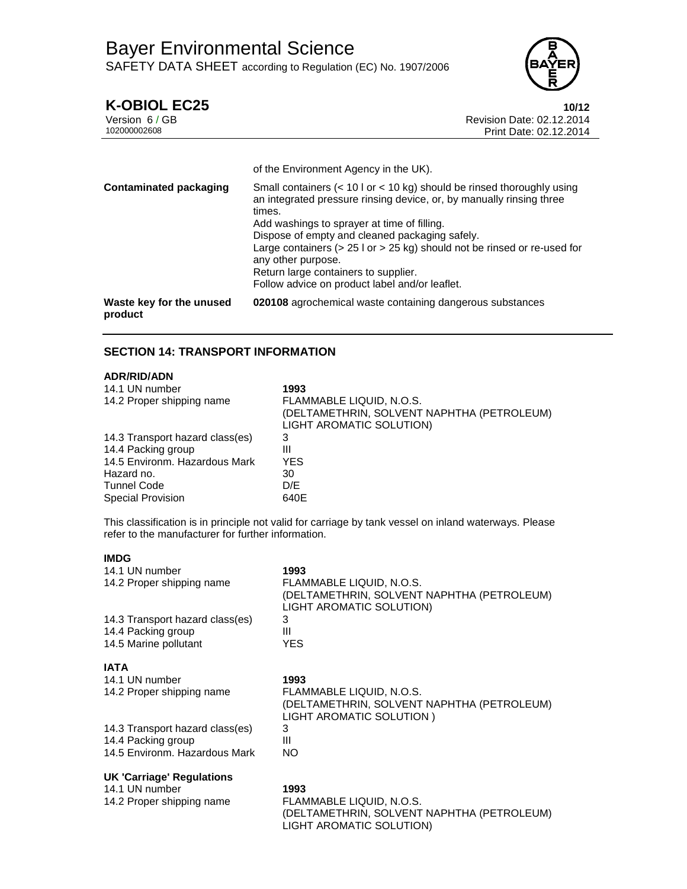

**K-OBIOL EC25**<br>Version 6/GB<br>Revision Date: 02.12.2014 Version 6 / GB Revision Date: 02.12.2014 Print Date: 02.12.2014

|                                     | of the Environment Agency in the UK).                                                                                                                                                                                                                                                                                                                                                                                                                      |
|-------------------------------------|------------------------------------------------------------------------------------------------------------------------------------------------------------------------------------------------------------------------------------------------------------------------------------------------------------------------------------------------------------------------------------------------------------------------------------------------------------|
| <b>Contaminated packaging</b>       | Small containers $(< 10 \text{ kg})$ should be rinsed thoroughly using<br>an integrated pressure rinsing device, or, by manually rinsing three<br>times.<br>Add washings to sprayer at time of filling.<br>Dispose of empty and cleaned packaging safely.<br>Large containers ( $> 25$ I or $> 25$ kg) should not be rinsed or re-used for<br>any other purpose.<br>Return large containers to supplier.<br>Follow advice on product label and/or leaflet. |
| Waste key for the unused<br>product | 020108 agrochemical waste containing dangerous substances                                                                                                                                                                                                                                                                                                                                                                                                  |

# **SECTION 14: TRANSPORT INFORMATION**

### **ADR/RID/ADN**

| 14.1 UN number<br>14.2 Proper shipping name | 1993<br>FLAMMABLE LIQUID, N.O.S.<br>(DELTAMETHRIN, SOLVENT NAPHTHA (PETROLEUM)<br>LIGHT AROMATIC SOLUTION) |
|---------------------------------------------|------------------------------------------------------------------------------------------------------------|
| 14.3 Transport hazard class(es)             | 3                                                                                                          |
| 14.4 Packing group                          | Ш                                                                                                          |
| 14.5 Environm. Hazardous Mark               | YES                                                                                                        |
| Hazard no.                                  | 30                                                                                                         |
| <b>Tunnel Code</b>                          | D/E                                                                                                        |
| <b>Special Provision</b>                    | 640E                                                                                                       |

This classification is in principle not valid for carriage by tank vessel on inland waterways. Please refer to the manufacturer for further information.

### **IMDG**

| 14.1 UN number<br>14.2 Proper shipping name | 1993<br>FLAMMABLE LIQUID, N.O.S.<br>(DELTAMETHRIN, SOLVENT NAPHTHA (PETROLEUM)<br>LIGHT AROMATIC SOLUTION) |
|---------------------------------------------|------------------------------------------------------------------------------------------------------------|
| 14.3 Transport hazard class(es)             | 3                                                                                                          |
| 14.4 Packing group                          | Ш                                                                                                          |
| 14.5 Marine pollutant                       | YES.                                                                                                       |
| <b>IATA</b>                                 |                                                                                                            |
| 14.1 UN number                              | 1993                                                                                                       |
| 14.2 Proper shipping name                   | FLAMMABLE LIQUID, N.O.S.<br>(DELTAMETHRIN, SOLVENT NAPHTHA (PETROLEUM)<br>LIGHT AROMATIC SOLUTION)         |
| 14.3 Transport hazard class(es)             | 3                                                                                                          |
| 14.4 Packing group                          | Ш                                                                                                          |
| 14.5 Environm. Hazardous Mark               | NO.                                                                                                        |
| <b>UK 'Carriage' Regulations</b>            |                                                                                                            |
| 14.1 UN number                              | 1993                                                                                                       |
| 14.2 Proper shipping name                   | FLAMMABLE LIQUID, N.O.S.<br>(DELTAMETHRIN, SOLVENT NAPHTHA (PETROLEUM)                                     |

LIGHT AROMATIC SOLUTION)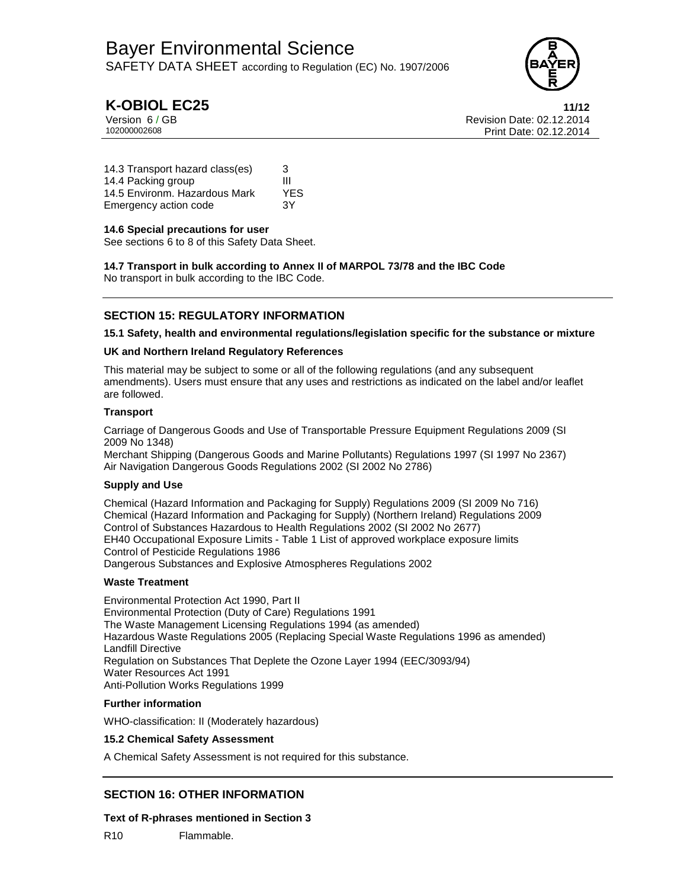

# **K-OBIOL EC25 11/12**

Version 6 / GB Revision Date: 02.12.2014 Print Date: 02.12.2014

14.3 Transport hazard class(es) 3 14.4 Packing group III 14.5 Environm. Hazardous Mark YES Emergency action code 3Y

## **14.6 Special precautions for user**

See sections 6 to 8 of this Safety Data Sheet.

**14.7 Transport in bulk according to Annex II of MARPOL 73/78 and the IBC Code**  No transport in bulk according to the IBC Code.

## **SECTION 15: REGULATORY INFORMATION**

### **15.1 Safety, health and environmental regulations/legislation specific for the substance or mixture**

### **UK and Northern Ireland Regulatory References**

This material may be subject to some or all of the following regulations (and any subsequent amendments). Users must ensure that any uses and restrictions as indicated on the label and/or leaflet are followed.

### **Transport**

Carriage of Dangerous Goods and Use of Transportable Pressure Equipment Regulations 2009 (SI 2009 No 1348)

Merchant Shipping (Dangerous Goods and Marine Pollutants) Regulations 1997 (SI 1997 No 2367) Air Navigation Dangerous Goods Regulations 2002 (SI 2002 No 2786)

## **Supply and Use**

Chemical (Hazard Information and Packaging for Supply) Regulations 2009 (SI 2009 No 716) Chemical (Hazard Information and Packaging for Supply) (Northern Ireland) Regulations 2009 Control of Substances Hazardous to Health Regulations 2002 (SI 2002 No 2677) EH40 Occupational Exposure Limits - Table 1 List of approved workplace exposure limits Control of Pesticide Regulations 1986 Dangerous Substances and Explosive Atmospheres Regulations 2002

### **Waste Treatment**

Environmental Protection Act 1990, Part II Environmental Protection (Duty of Care) Regulations 1991 The Waste Management Licensing Regulations 1994 (as amended) Hazardous Waste Regulations 2005 (Replacing Special Waste Regulations 1996 as amended) Landfill Directive Regulation on Substances That Deplete the Ozone Layer 1994 (EEC/3093/94) Water Resources Act 1991 Anti-Pollution Works Regulations 1999

### **Further information**

WHO-classification: II (Moderately hazardous)

### **15.2 Chemical Safety Assessment**

A Chemical Safety Assessment is not required for this substance.

## **SECTION 16: OTHER INFORMATION**

### **Text of R-phrases mentioned in Section 3**

R10 Flammable.